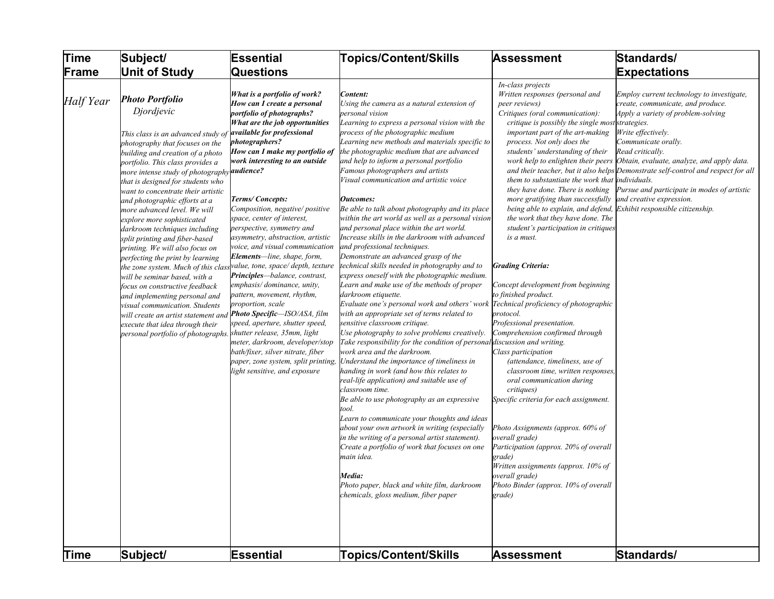| Time        | Subject/                                                                                                                                                                                                                                                                                                                                                                                                                                                                                                                                                                                                                                                                                                                                                                                                                                                     | <b>Essential</b>                                                                                                                                                                                                                                                                                                                                                                                                                                                                                                                                                                                                                                                                                                                                                                                                                                                                                           | <b>Topics/Content/Skills</b>                                                                                                                                                                                                                                                                                                                                                                                                                                                                                                                                                                                                                                                                                                                                                                                                                                                                                                                                                                                                                                                                                                                                                                                                                                                                                                                                                                                                                                                                                                                                                                                                                                                                              | Assessment                                                                                                                                                                                                                                                                                                                                                                                                                                                                                                                                                                                                                                                                                                                                                                                                                                                                                                                                                                                                                                                                                                                                                                                       | Standards/                                                                                                                                                                                                                                                                                                                                                                                                                              |
|-------------|--------------------------------------------------------------------------------------------------------------------------------------------------------------------------------------------------------------------------------------------------------------------------------------------------------------------------------------------------------------------------------------------------------------------------------------------------------------------------------------------------------------------------------------------------------------------------------------------------------------------------------------------------------------------------------------------------------------------------------------------------------------------------------------------------------------------------------------------------------------|------------------------------------------------------------------------------------------------------------------------------------------------------------------------------------------------------------------------------------------------------------------------------------------------------------------------------------------------------------------------------------------------------------------------------------------------------------------------------------------------------------------------------------------------------------------------------------------------------------------------------------------------------------------------------------------------------------------------------------------------------------------------------------------------------------------------------------------------------------------------------------------------------------|-----------------------------------------------------------------------------------------------------------------------------------------------------------------------------------------------------------------------------------------------------------------------------------------------------------------------------------------------------------------------------------------------------------------------------------------------------------------------------------------------------------------------------------------------------------------------------------------------------------------------------------------------------------------------------------------------------------------------------------------------------------------------------------------------------------------------------------------------------------------------------------------------------------------------------------------------------------------------------------------------------------------------------------------------------------------------------------------------------------------------------------------------------------------------------------------------------------------------------------------------------------------------------------------------------------------------------------------------------------------------------------------------------------------------------------------------------------------------------------------------------------------------------------------------------------------------------------------------------------------------------------------------------------------------------------------------------------|--------------------------------------------------------------------------------------------------------------------------------------------------------------------------------------------------------------------------------------------------------------------------------------------------------------------------------------------------------------------------------------------------------------------------------------------------------------------------------------------------------------------------------------------------------------------------------------------------------------------------------------------------------------------------------------------------------------------------------------------------------------------------------------------------------------------------------------------------------------------------------------------------------------------------------------------------------------------------------------------------------------------------------------------------------------------------------------------------------------------------------------------------------------------------------------------------|-----------------------------------------------------------------------------------------------------------------------------------------------------------------------------------------------------------------------------------------------------------------------------------------------------------------------------------------------------------------------------------------------------------------------------------------|
| Frame       | <b>Unit of Study</b>                                                                                                                                                                                                                                                                                                                                                                                                                                                                                                                                                                                                                                                                                                                                                                                                                                         | Questions                                                                                                                                                                                                                                                                                                                                                                                                                                                                                                                                                                                                                                                                                                                                                                                                                                                                                                  |                                                                                                                                                                                                                                                                                                                                                                                                                                                                                                                                                                                                                                                                                                                                                                                                                                                                                                                                                                                                                                                                                                                                                                                                                                                                                                                                                                                                                                                                                                                                                                                                                                                                                                           |                                                                                                                                                                                                                                                                                                                                                                                                                                                                                                                                                                                                                                                                                                                                                                                                                                                                                                                                                                                                                                                                                                                                                                                                  | <b>Expectations</b>                                                                                                                                                                                                                                                                                                                                                                                                                     |
| Half Year   | <b>Photo Portfolio</b><br>Djordjevic<br>This class is an advanced study of<br>photography that focuses on the<br>building and creation of a photo<br>portfolio. This class provides a<br>more intense study of photography <b>audience?</b><br>that is designed for students who<br>want to concentrate their artistic<br>and photographic efforts at a<br>more advanced level. We will<br>explore more sophisticated<br>darkroom techniques including<br>split printing and fiber-based<br>printing. We will also focus on<br>perfecting the print by learning<br>the zone system. Much of this class<br>will be seminar based, with a<br>focus on constructive feedback<br>and implementing personal and<br>visual communication. Students<br>will create an artist statement and<br>execute that idea through their<br>personal portfolio of photographs. | What is a portfolio of work?<br>How can I create a personal<br>portfolio of photographs?<br>What are the job opportunities<br>available for professional<br><i>hotographers?</i><br>How can I make my portfolio of<br>work interesting to an outside<br>Terms/Concepts:<br>Composition, negative/positive<br>space, center of interest,<br>perspective, symmetry and<br>asymmetry, abstraction, artistic<br>voice, and visual communication<br><b>Elements</b> —line, shape, form,<br>value, tone, space/depth, texture<br><b>Principles</b> —balance, contrast,<br>emphasis/dominance, unity,<br>pattern, movement, rhythm,<br>proportion, scale<br><b>Photo Specific-ISO/ASA, film</b><br>speed, aperture, shutter speed,<br>shutter release, 35mm, light<br>meter, darkroom, developer/stop<br>bath/fixer, silver nitrate, fiber<br>paper, zone system, split printing,<br>ight sensitive, and exposure | Content:<br>Using the camera as a natural extension of<br>personal vision<br>Learning to express a personal vision with the<br>process of the photographic medium<br>Learning new methods and materials specific to<br>the photographic medium that are advanced<br>and help to inform a personal portfolio<br>Famous photographers and artists<br>Visual communication and artistic voice<br><b>Outcomes:</b><br>Be able to talk about photography and its place<br>within the art world as well as a personal vision<br>and personal place within the art world.<br>Increase skills in the darkroom with advanced<br>and professional techniques.<br>Demonstrate an advanced grasp of the<br>technical skills needed in photography and to<br>express oneself with the photographic medium.<br>Learn and make use of the methods of proper<br>darkroom etiquette.<br>Evaluate one's personal work and others' work<br>with an appropriate set of terms related to<br>sensitive classroom critique.<br>Use photography to solve problems creatively.<br>Take responsibility for the condition of personal discussion and writing.<br>work area and the darkroom.<br>Understand the importance of timeliness in<br>handing in work (and how this relates to<br>real-life application) and suitable use of<br>classroom time.<br>Be able to use photography as an expressive<br>tool.<br>Learn to communicate your thoughts and ideas<br>about your own artwork in writing (especially<br>in the writing of a personal artist statement).<br>Create a portfolio of work that focuses on one<br>main idea.<br>Media:<br>Photo paper, black and white film, darkroom<br>chemicals, gloss medium, fiber paper | In-class projects<br>Written responses (personal and<br>peer reviews)<br>Critiques (oral communication):<br>critique is possibly the single most strategies.<br>important part of the art-making<br>process. Not only does the<br>students' understanding of their<br>work help to enlighten their peers<br>them to substantiate the work that individuals.<br>they have done. There is nothing<br>more gratifying than successfully<br>being able to explain, and defend,<br>the work that they have done. The<br>student's participation in critiques<br>is a must.<br><b>Grading Criteria:</b><br>Concept development from beginning<br>to finished product.<br>Technical proficiency of photographic<br>protocol.<br>Professional presentation.<br>Comprehension confirmed through<br>Class participation<br>(attendance, timeliness, use of<br>classroom time, written responses,<br>oral communication during<br>critiques)<br>Specific criteria for each assignment.<br>Photo Assignments (approx. 60% of<br>overall grade)<br>Participation (approx. 20% of overall<br>grade)<br>Written assignments (approx. 10% of<br>overall grade)<br>Photo Binder (approx. 10% of overall<br>grade) | Employ current technology to investigate,<br>create, communicate, and produce.<br>Apply a variety of problem-solving<br>Write effectively.<br>Communicate orally.<br>Read critically.<br>Obtain, evaluate, analyze, and apply data.<br>and their teacher, but it also helps Demonstrate self-control and respect for all<br>Pursue and participate in modes of artistic<br>and creative expression.<br>Exhibit responsible citizenship. |
| <b>Time</b> | Subject/                                                                                                                                                                                                                                                                                                                                                                                                                                                                                                                                                                                                                                                                                                                                                                                                                                                     | <b>Essential</b>                                                                                                                                                                                                                                                                                                                                                                                                                                                                                                                                                                                                                                                                                                                                                                                                                                                                                           | <b>Topics/Content/Skills</b>                                                                                                                                                                                                                                                                                                                                                                                                                                                                                                                                                                                                                                                                                                                                                                                                                                                                                                                                                                                                                                                                                                                                                                                                                                                                                                                                                                                                                                                                                                                                                                                                                                                                              | Assessment                                                                                                                                                                                                                                                                                                                                                                                                                                                                                                                                                                                                                                                                                                                                                                                                                                                                                                                                                                                                                                                                                                                                                                                       | Standards/                                                                                                                                                                                                                                                                                                                                                                                                                              |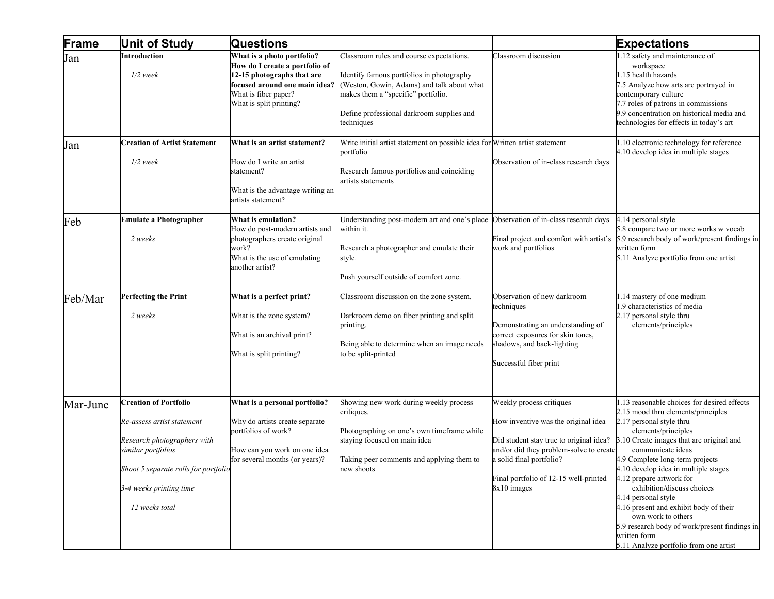| Frame    | <b>Unit of Study</b>                                                                                                                                                                                 | <b>Questions</b>                                                                                                                                                               |                                                                                                                                                                                                                                      |                                                                                                                                                                                                                                           | <b>Expectations</b>                                                                                                                                                                                                                                                                                                                                                                                                                                                                                                                          |
|----------|------------------------------------------------------------------------------------------------------------------------------------------------------------------------------------------------------|--------------------------------------------------------------------------------------------------------------------------------------------------------------------------------|--------------------------------------------------------------------------------------------------------------------------------------------------------------------------------------------------------------------------------------|-------------------------------------------------------------------------------------------------------------------------------------------------------------------------------------------------------------------------------------------|----------------------------------------------------------------------------------------------------------------------------------------------------------------------------------------------------------------------------------------------------------------------------------------------------------------------------------------------------------------------------------------------------------------------------------------------------------------------------------------------------------------------------------------------|
| Jan      | Introduction<br>$1/2$ week                                                                                                                                                                           | What is a photo portfolio?<br>How do I create a portfolio of<br>12-15 photographs that are<br>focused around one main idea?<br>What is fiber paper?<br>What is split printing? | Classroom rules and course expectations.<br>Identify famous portfolios in photography<br>(Weston, Gowin, Adams) and talk about what<br>makes them a "specific" portfolio.<br>Define professional darkroom supplies and<br>techniques | Classroom discussion                                                                                                                                                                                                                      | 1.12 safety and maintenance of<br>workspace<br>1.15 health hazards<br>7.5 Analyze how arts are portrayed in<br>contemporary culture<br>7.7 roles of patrons in commissions<br>9.9 concentration on historical media and<br>technologies for effects in today's art                                                                                                                                                                                                                                                                           |
| Jan      | <b>Creation of Artist Statement</b><br>$1/2$ week                                                                                                                                                    | What is an artist statement?<br>How do I write an artist<br>statement?<br>What is the advantage writing an<br>artists statement?                                               | Write initial artist statement on possible idea for Written artist statement<br>portfolio<br>Research famous portfolios and coinciding<br>artists statements                                                                         | Observation of in-class research days                                                                                                                                                                                                     | 1.10 electronic technology for reference<br>4.10 develop idea in multiple stages                                                                                                                                                                                                                                                                                                                                                                                                                                                             |
| Feb      | <b>Emulate a Photographer</b><br>2 weeks                                                                                                                                                             | What is emulation?<br>How do post-modern artists and<br>photographers create original<br>work?<br>What is the use of emulating<br>another artist?                              | Understanding post-modern art and one's place<br>within it.<br>Research a photographer and emulate their<br>style.<br>Push yourself outside of comfort zone.                                                                         | Observation of in-class research days<br>work and portfolios                                                                                                                                                                              | 4.14 personal style<br>5.8 compare two or more works w vocab<br>Final project and comfort with artist's 5.9 research body of work/present findings in<br>written form<br>5.11 Analyze portfolio from one artist                                                                                                                                                                                                                                                                                                                              |
| Feb/Mar  | <b>Perfecting the Print</b><br>2 weeks                                                                                                                                                               | What is a perfect print?<br>What is the zone system?<br>What is an archival print?<br>What is split printing?                                                                  | Classroom discussion on the zone system.<br>Darkroom demo on fiber printing and split<br>printing.<br>Being able to determine when an image needs<br>to be split-printed                                                             | Observation of new darkroom<br>techniques<br>Demonstrating an understanding of<br>correct exposures for skin tones,<br>shadows, and back-lighting<br>Successful fiber print                                                               | 1.14 mastery of one medium<br>1.9 characteristics of media<br>2.17 personal style thru<br>elements/principles                                                                                                                                                                                                                                                                                                                                                                                                                                |
| Mar-June | <b>Creation of Portfolio</b><br>Re-assess artist statement<br>Research photographers with<br>similar portfolios<br>Shoot 5 separate rolls for portfolio<br>3-4 weeks printing time<br>12 weeks total | What is a personal portfolio?<br>Why do artists create separate<br>portfolios of work?<br>How can you work on one idea<br>for several months (or years)?                       | Showing new work during weekly process<br>critiques.<br>Photographing on one's own timeframe while<br>staying focused on main idea<br>Taking peer comments and applying them to<br>new shoots                                        | Weekly process critiques<br>How inventive was the original idea<br>Did student stay true to original idea?<br>and/or did they problem-solve to create<br>a solid final portfolio?<br>Final portfolio of 12-15 well-printed<br>8x10 images | 1.13 reasonable choices for desired effects<br>2.15 mood thru elements/principles<br>2.17 personal style thru<br>elements/principles<br>3.10 Create images that are original and<br>communicate ideas<br>4.9 Complete long-term projects<br>4.10 develop idea in multiple stages<br>4.12 prepare artwork for<br>exhibition/discuss choices<br>4.14 personal style<br>4.16 present and exhibit body of their<br>own work to others<br>5.9 research body of work/present findings in<br>written form<br>5.11 Analyze portfolio from one artist |